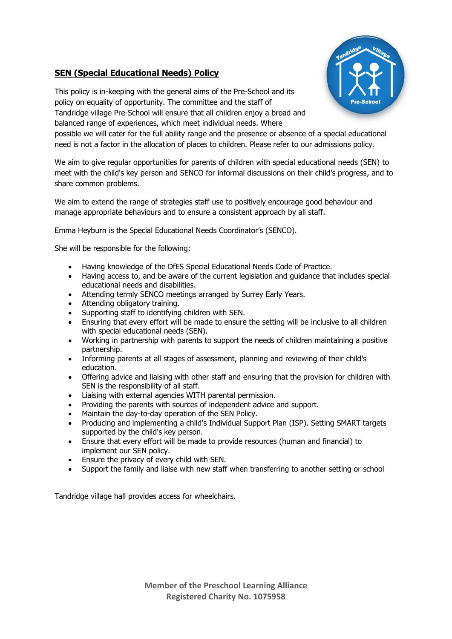

## **SEN (Special Educational Needs) Policy**

This policy is in-keeping with the general aims of the Pre-School and its policy on equality of opportunity. The committee and the staff of Tandridge village Pre-School will ensure that all children enjoy a broad and balanced range of experiences, which meet individual needs. Where

possible we will cater for the full ability range and the presence or absence of a special educational need is not a factor in the allocation of places to children. Please refer to our admissions policy.

We aim to give regular opportunities for parents of children with special educational needs (SEN) to meet with the child's key person and SENCO for informal discussions on their child's progress, and to share common problems.

We aim to extend the range of strategies staff use to positively encourage good behaviour and manage appropriate behaviours and to ensure a consistent approach by all staff.

Emma Heyburn is the Special Educational Needs Coordinator's (SENCO).

She will be responsible for the following:

- Having knowledge of the DfES Special Educational Needs Code of Practice.
- Having access to, and be aware of the current legislation and guidance that includes special educational needs and disabilities.
- Attending termly SENCO meetings arranged by Surrey Early Years.
- Attending obligatory training.
- Supporting staff to identifying children with SEN.
- Ensuring that every effort will be made to ensure the setting will be inclusive to all children with special educational needs (SEN).
- Working in partnership with parents to support the needs of children maintaining a positive partnership.
- Informing parents at all stages of assessment, planning and reviewing of their child's education.
- Offering advice and liaising with other staff and ensuring that the provision for children with SEN is the responsibility of all staff.
- Liaising with external agencies WITH parental permission.
- Providing the parents with sources of independent advice and support.
- Maintain the day-to-day operation of the SEN Policy.
- Producing and implementing a child's Individual Support Plan (ISP). Setting SMART targets supported by the child's key person.
- Ensure that every effort will be made to provide resources (human and financial) to implement our SEN policy.
- Ensure the privacy of every child with SEN.
- Support the family and liaise with new staff when transferring to another setting or school

Tandridge village hall provides access for wheelchairs.